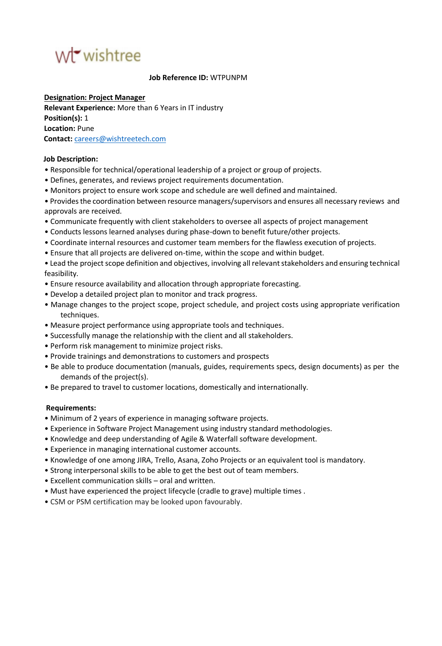# wirwishtree

#### **Job Reference ID:** WTPUNPM

**Designation: Project Manager Relevant Experience:** More than 6 Years in IT industry **Position(s):** 1 **Location:** Pune **Contact:** careers@wishtreetech.com

#### **Job Description:**

- Responsible for technical/operational leadership of a project or group of projects.
- Defines, generates, and reviews project requirements documentation.
- Monitors project to ensure work scope and schedule are well defined and maintained.
- Provides the coordination between resource managers/supervisors and ensures all necessary reviews and approvals are received.
- Communicate frequently with client stakeholders to oversee all aspects of project management
- Conducts lessons learned analyses during phase-down to benefit future/other projects.
- Coordinate internal resources and customer team members for the flawless execution of projects.
- Ensure that all projects are delivered on-time, within the scope and within budget.

• Lead the project scope definition and objectives, involving all relevant stakeholders and ensuring technical feasibility.

- Ensure resource availability and allocation through appropriate forecasting.
- Develop a detailed project plan to monitor and track progress.
- Manage changes to the project scope, project schedule, and project costs using appropriate verification techniques.
- Measure project performance using appropriate tools and techniques.
- Successfully manage the relationship with the client and all stakeholders.
- Perform risk management to minimize project risks.
- Provide trainings and demonstrations to customers and prospects
- Be able to produce documentation (manuals, guides, requirements specs, design documents) as per the demands of the project(s).
- Be prepared to travel to customer locations, domestically and internationally.

### **Requirements:**

- Minimum of 2 years of experience in managing software projects.
- Experience in Software Project Management using industry standard methodologies.
- Knowledge and deep understanding of Agile & Waterfall software development.
- Experience in managing international customer accounts.
- Knowledge of one among JIRA, Trello, Asana, Zoho Projects or an equivalent tool is mandatory.
- Strong interpersonal skills to be able to get the best out of team members.
- Excellent communication skills oral and written.
- Must have experienced the project lifecycle (cradle to grave) multiple times .
- CSM or PSM certification may be looked upon favourably.